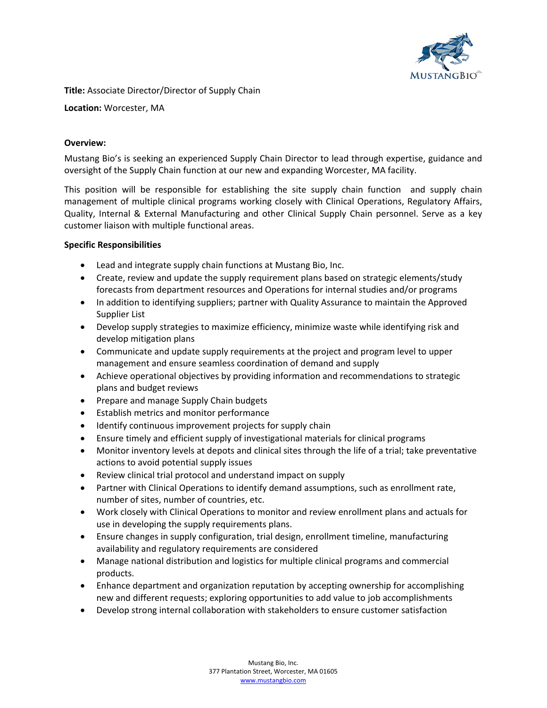

**Title:** Associate Director/Director of Supply Chain

**Location:** Worcester, MA

# **Overview:**

Mustang Bio's is seeking an experienced Supply Chain Director to lead through expertise, guidance and oversight of the Supply Chain function at our new and expanding Worcester, MA facility.

This position will be responsible for establishing the site supply chain function and supply chain management of multiple clinical programs working closely with Clinical Operations, Regulatory Affairs, Quality, Internal & External Manufacturing and other Clinical Supply Chain personnel. Serve as a key customer liaison with multiple functional areas.

# **Specific Responsibilities**

- Lead and integrate supply chain functions at Mustang Bio, Inc.
- Create, review and update the supply requirement plans based on strategic elements/study forecasts from department resources and Operations for internal studies and/or programs
- In addition to identifying suppliers; partner with Quality Assurance to maintain the Approved Supplier List
- Develop supply strategies to maximize efficiency, minimize waste while identifying risk and develop mitigation plans
- Communicate and update supply requirements at the project and program level to upper management and ensure seamless coordination of demand and supply
- Achieve operational objectives by providing information and recommendations to strategic plans and budget reviews
- Prepare and manage Supply Chain budgets
- Establish metrics and monitor performance
- Identify continuous improvement projects for supply chain
- Ensure timely and efficient supply of investigational materials for clinical programs
- Monitor inventory levels at depots and clinical sites through the life of a trial; take preventative actions to avoid potential supply issues
- Review clinical trial protocol and understand impact on supply
- Partner with Clinical Operations to identify demand assumptions, such as enrollment rate, number of sites, number of countries, etc.
- Work closely with Clinical Operations to monitor and review enrollment plans and actuals for use in developing the supply requirements plans.
- Ensure changes in supply configuration, trial design, enrollment timeline, manufacturing availability and regulatory requirements are considered
- Manage national distribution and logistics for multiple clinical programs and commercial products.
- Enhance department and organization reputation by accepting ownership for accomplishing new and different requests; exploring opportunities to add value to job accomplishments
- Develop strong internal collaboration with stakeholders to ensure customer satisfaction